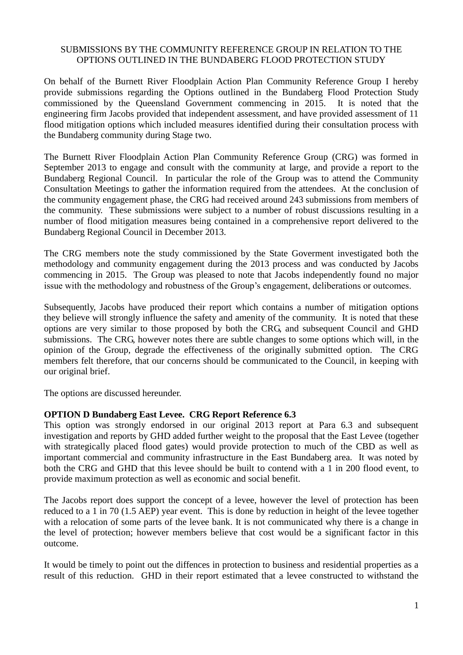## SUBMISSIONS BY THE COMMUNITY REFERENCE GROUP IN RELATION TO THE OPTIONS OUTLINED IN THE BUNDABERG FLOOD PROTECTION STUDY

On behalf of the Burnett River Floodplain Action Plan Community Reference Group I hereby provide submissions regarding the Options outlined in the Bundaberg Flood Protection Study commissioned by the Queensland Government commencing in 2015. It is noted that the engineering firm Jacobs provided that independent assessment, and have provided assessment of 11 flood mitigation options which included measures identified during their consultation process with the Bundaberg community during Stage two.

The Burnett River Floodplain Action Plan Community Reference Group (CRG) was formed in September 2013 to engage and consult with the community at large, and provide a report to the Bundaberg Regional Council. In particular the role of the Group was to attend the Community Consultation Meetings to gather the information required from the attendees. At the conclusion of the community engagement phase, the CRG had received around 243 submissions from members of the community. These submissions were subject to a number of robust discussions resulting in a number of flood mitigation measures being contained in a comprehensive report delivered to the Bundaberg Regional Council in December 2013.

The CRG members note the study commissioned by the State Goverment investigated both the methodology and community engagement during the 2013 process and was conducted by Jacobs commencing in 2015. The Group was pleased to note that Jacobs independently found no major issue with the methodology and robustness of the Group's engagement, deliberations or outcomes.

Subsequently, Jacobs have produced their report which contains a number of mitigation options they believe will strongly influence the safety and amenity of the community. It is noted that these options are very similar to those proposed by both the CRG, and subsequent Council and GHD submissions. The CRG, however notes there are subtle changes to some options which will, in the opinion of the Group, degrade the effectiveness of the originally submitted option. The CRG members felt therefore, that our concerns should be communicated to the Council, in keeping with our original brief.

The options are discussed hereunder.

# **OPTION D Bundaberg East Levee. CRG Report Reference 6.3**

This option was strongly endorsed in our original 2013 report at Para 6.3 and subsequent investigation and reports by GHD added further weight to the proposal that the East Levee (together with strategically placed flood gates) would provide protection to much of the CBD as well as important commercial and community infrastructure in the East Bundaberg area. It was noted by both the CRG and GHD that this levee should be built to contend with a 1 in 200 flood event, to provide maximum protection as well as economic and social benefit.

The Jacobs report does support the concept of a levee, however the level of protection has been reduced to a 1 in 70 (1.5 AEP) year event. This is done by reduction in height of the levee together with a relocation of some parts of the levee bank. It is not communicated why there is a change in the level of protection; however members believe that cost would be a significant factor in this outcome.

It would be timely to point out the diffences in protection to business and residential properties as a result of this reduction. GHD in their report estimated that a levee constructed to withstand the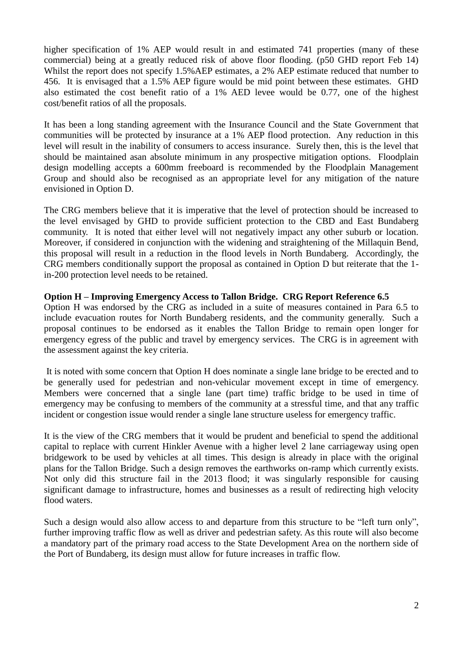higher specification of 1% AEP would result in and estimated 741 properties (many of these commercial) being at a greatly reduced risk of above floor flooding. (p50 GHD report Feb 14) Whilst the report does not specify 1.5%AEP estimates, a 2% AEP estimate reduced that number to 456. It is envisaged that a 1.5% AEP figure would be mid point between these estimates. GHD also estimated the cost benefit ratio of a 1% AED levee would be 0.77, one of the highest cost/benefit ratios of all the proposals.

It has been a long standing agreement with the Insurance Council and the State Government that communities will be protected by insurance at a 1% AEP flood protection. Any reduction in this level will result in the inability of consumers to access insurance. Surely then, this is the level that should be maintained asan absolute minimum in any prospective mitigation options. Floodplain design modelling accepts a 600mm freeboard is recommended by the Floodplain Management Group and should also be recognised as an appropriate level for any mitigation of the nature envisioned in Option D.

The CRG members believe that it is imperative that the level of protection should be increased to the level envisaged by GHD to provide sufficient protection to the CBD and East Bundaberg community. It is noted that either level will not negatively impact any other suburb or location. Moreover, if considered in conjunction with the widening and straightening of the Millaquin Bend, this proposal will result in a reduction in the flood levels in North Bundaberg. Accordingly, the CRG members conditionally support the proposal as contained in Option D but reiterate that the 1 in-200 protection level needs to be retained.

## **Option H – Improving Emergency Access to Tallon Bridge. CRG Report Reference 6.5**

Option H was endorsed by the CRG as included in a suite of measures contained in Para 6.5 to include evacuation routes for North Bundaberg residents, and the community generally. Such a proposal continues to be endorsed as it enables the Tallon Bridge to remain open longer for emergency egress of the public and travel by emergency services. The CRG is in agreement with the assessment against the key criteria.

It is noted with some concern that Option H does nominate a single lane bridge to be erected and to be generally used for pedestrian and non-vehicular movement except in time of emergency. Members were concerned that a single lane (part time) traffic bridge to be used in time of emergency may be confusing to members of the community at a stressful time, and that any traffic incident or congestion issue would render a single lane structure useless for emergency traffic.

It is the view of the CRG members that it would be prudent and beneficial to spend the additional capital to replace with current Hinkler Avenue with a higher level 2 lane carriageway using open bridgework to be used by vehicles at all times. This design is already in place with the original plans for the Tallon Bridge. Such a design removes the earthworks on-ramp which currently exists. Not only did this structure fail in the 2013 flood; it was singularly responsible for causing significant damage to infrastructure, homes and businesses as a result of redirecting high velocity flood waters.

Such a design would also allow access to and departure from this structure to be "left turn only", further improving traffic flow as well as driver and pedestrian safety. As this route will also become a mandatory part of the primary road access to the State Development Area on the northern side of the Port of Bundaberg, its design must allow for future increases in traffic flow.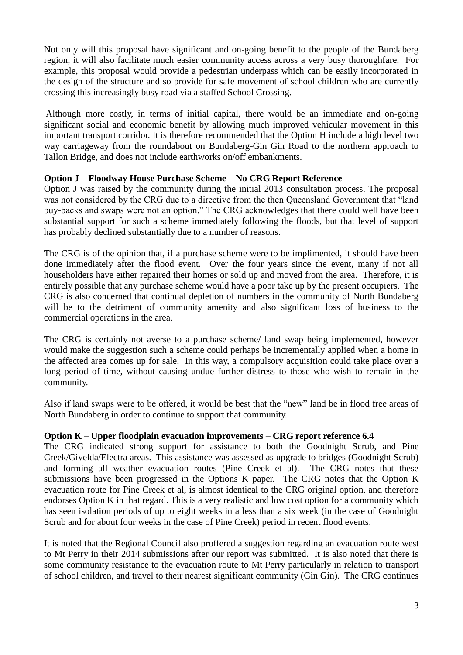Not only will this proposal have significant and on-going benefit to the people of the Bundaberg region, it will also facilitate much easier community access across a very busy thoroughfare. For example, this proposal would provide a pedestrian underpass which can be easily incorporated in the design of the structure and so provide for safe movement of school children who are currently crossing this increasingly busy road via a staffed School Crossing.

Although more costly, in terms of initial capital, there would be an immediate and on-going significant social and economic benefit by allowing much improved vehicular movement in this important transport corridor. It is therefore recommended that the Option H include a high level two way carriageway from the roundabout on Bundaberg-Gin Gin Road to the northern approach to Tallon Bridge, and does not include earthworks on/off embankments.

## **Option J – Floodway House Purchase Scheme – No CRG Report Reference**

Option J was raised by the community during the initial 2013 consultation process. The proposal was not considered by the CRG due to a directive from the then Queensland Government that "land buy-backs and swaps were not an option." The CRG acknowledges that there could well have been substantial support for such a scheme immediately following the floods, but that level of support has probably declined substantially due to a number of reasons.

The CRG is of the opinion that, if a purchase scheme were to be implimented, it should have been done immediately after the flood event. Over the four years since the event, many if not all householders have either repaired their homes or sold up and moved from the area. Therefore, it is entirely possible that any purchase scheme would have a poor take up by the present occupiers. The CRG is also concerned that continual depletion of numbers in the community of North Bundaberg will be to the detriment of community amenity and also significant loss of business to the commercial operations in the area.

The CRG is certainly not averse to a purchase scheme/ land swap being implemented, however would make the suggestion such a scheme could perhaps be incrementally applied when a home in the affected area comes up for sale. In this way, a compulsory acquisition could take place over a long period of time, without causing undue further distress to those who wish to remain in the community.

Also if land swaps were to be offered, it would be best that the "new" land be in flood free areas of North Bundaberg in order to continue to support that community.

#### **Option K – Upper floodplain evacuation improvements – CRG report reference 6.4**

The CRG indicated strong support for assistance to both the Goodnight Scrub, and Pine Creek/Givelda/Electra areas. This assistance was assessed as upgrade to bridges (Goodnight Scrub) and forming all weather evacuation routes (Pine Creek et al). The CRG notes that these submissions have been progressed in the Options K paper. The CRG notes that the Option K evacuation route for Pine Creek et al, is almost identical to the CRG original option, and therefore endorses Option K in that regard. This is a very realistic and low cost option for a community which has seen isolation periods of up to eight weeks in a less than a six week (in the case of Goodnight Scrub and for about four weeks in the case of Pine Creek) period in recent flood events.

It is noted that the Regional Council also proffered a suggestion regarding an evacuation route west to Mt Perry in their 2014 submissions after our report was submitted. It is also noted that there is some community resistance to the evacuation route to Mt Perry particularly in relation to transport of school children, and travel to their nearest significant community (Gin Gin). The CRG continues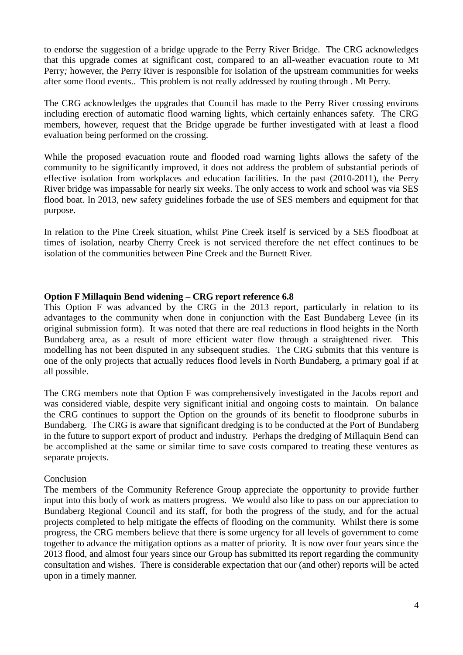to endorse the suggestion of a bridge upgrade to the Perry River Bridge. The CRG acknowledges that this upgrade comes at significant cost, compared to an all-weather evacuation route to Mt Perry*;* however, the Perry River is responsible for isolation of the upstream communities for weeks after some flood events.. This problem is not really addressed by routing through . Mt Perry.

The CRG acknowledges the upgrades that Council has made to the Perry River crossing environs including erection of automatic flood warning lights, which certainly enhances safety. The CRG members, however, request that the Bridge upgrade be further investigated with at least a flood evaluation being performed on the crossing.

While the proposed evacuation route and flooded road warning lights allows the safety of the community to be significantly improved, it does not address the problem of substantial periods of effective isolation from workplaces and education facilities. In the past (2010-2011), the Perry River bridge was impassable for nearly six weeks. The only access to work and school was via SES flood boat. In 2013, new safety guidelines forbade the use of SES members and equipment for that purpose.

In relation to the Pine Creek situation, whilst Pine Creek itself is serviced by a SES floodboat at times of isolation, nearby Cherry Creek is not serviced therefore the net effect continues to be isolation of the communities between Pine Creek and the Burnett River.

## **Option F Millaquin Bend widening – CRG report reference 6.8**

This Option F was advanced by the CRG in the 2013 report, particularly in relation to its advantages to the community when done in conjunction with the East Bundaberg Levee (in its original submission form). It was noted that there are real reductions in flood heights in the North Bundaberg area, as a result of more efficient water flow through a straightened river. This modelling has not been disputed in any subsequent studies. The CRG submits that this venture is one of the only projects that actually reduces flood levels in North Bundaberg, a primary goal if at all possible.

The CRG members note that Option F was comprehensively investigated in the Jacobs report and was considered viable, despite very significant initial and ongoing costs to maintain. On balance the CRG continues to support the Option on the grounds of its benefit to floodprone suburbs in Bundaberg. The CRG is aware that significant dredging is to be conducted at the Port of Bundaberg in the future to support export of product and industry. Perhaps the dredging of Millaquin Bend can be accomplished at the same or similar time to save costs compared to treating these ventures as separate projects.

#### Conclusion

The members of the Community Reference Group appreciate the opportunity to provide further input into this body of work as matters progress. We would also like to pass on our appreciation to Bundaberg Regional Council and its staff, for both the progress of the study, and for the actual projects completed to help mitigate the effects of flooding on the community. Whilst there is some progress, the CRG members believe that there is some urgency for all levels of government to come together to advance the mitigation options as a matter of priority. It is now over four years since the 2013 flood, and almost four years since our Group has submitted its report regarding the community consultation and wishes. There is considerable expectation that our (and other) reports will be acted upon in a timely manner.